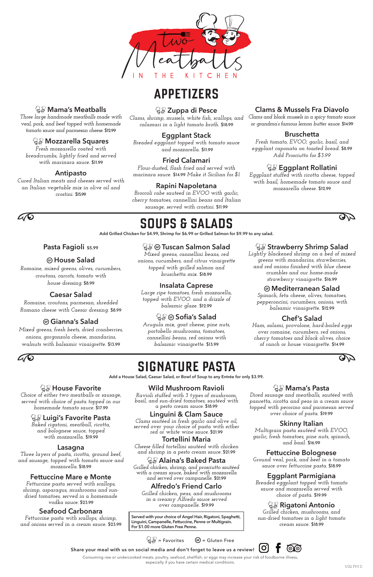

### **APPETIZERS**

# **SOUPS & SALADS**

**Add Grilled Chicken for \$4.99, Shrimp for \$6.99 or Grilled Salmon for \$9.99 to any salad.**

# **SIGNATURE PASTA**

**Add a House Salad, Caesar Salad, or Bowl of Soup to any Entrée for only \$3.99.**

### **Mama's Meatballs**

*Three large handmade meatballs made with veal, pork, and beef topped with homemade tomato sauce and parmesan cheese.* \$12.99

#### **Mozzarella Squares**

*Fresh mozzarella coated with breadcrumbs, lightly fried and served with marinara sauce.* \$11.99

#### **Antipasto**

*Cured Italian meats and cheeses served with an Italian vegetable mix in olive oil and crostini.* \$15.99

### **Zuppa di Pesce**

*Clams, shrimp, mussels, white fish, scallops, and calamari in a light tomato broth.* \$18.99

#### **Eggplant Stack**

*Breaded eggplant topped with tomato sauce and mozzarella.* \$11.99

#### **Fried Calamari**

*Flour-dusted, flash fried and served with marinara sauce.* \$14.99 *Make it Sicilian for \$1*

#### **Rapini Napoletana**

*Broccoli rabe sauteed in EVOO with garlic, cherry tomatoes, cannellini beans and Italian sausage, served with crostini.* \$11.99

#### **Clams & Mussels Fra Diavolo**

*Clams and black mussels in a spicy tomato sauce or grandma's famous lemon butter sauce.* \$14.99

#### **Bruschetta**

*Fresh tomato, EVOO, garlic, basil, and eggplant caponata on toasted bread.* \$8.99 *Add Prosciutto for \$3.99*

### **Eggplant Rollatini**

*Eggplant stuffed with ricotta cheese, topped with basil, homemade tomato sauce and mozzarella cheese.* \$12.99



#### **Pasta Fagioli \$5.99**

#### **House Salad**

*Romaine, mixed greens, olives, cucumbers, croutons, carrots, tomato with house dressing.* \$8.99

#### **Caesar Salad**

*Romaine, croutons, parmesan, shredded Romano cheese with Caesar dressing.* \$8.99

### **Gianna's Salad**

*Mixed greens, fresh beets, dried cranberries, onions, gorgonzola cheese, mandarins, walnuts with balsamic vinaigrette.* \$13.99

#### **House Favorite**

*Choice of either two meatballs or sausage, served with choice of pasta topped in our homemade tomato sauce.* \$17.99

### **Luigi's Favorite Pasta**

*Baked rigatoni, meatball, ricotta, and bolognese sauce, topped with mozzarella.* \$19.99

#### **Lasagna**

*Three layers of pasta, ricotta, ground beef, and sausage, topped with tomato sauce and mozzarella.* \$18.99

#### **Fettuccine Mare e Monte**

*Fettuccine pasta served with scallops, shrimp, asparagus, mushrooms and sundried tomatoes, served in a homemade vodka sauce.* \$23.99

#### **Seafood Carbonara**

*Fettuccine pasta with scallops, shrimp, and onions served in a cream sauce.* \$23.99

#### **Mama's Pasta**

*Diced sausage and meatballs, sautéed with pancetta, ricotta and peas in a cream sauce topped with pecorino and parmesan served over choice of pasta.* \$19.99

**Skinny Italian**

*Multigrain pasta sautéed with EVOO, garlic, fresh tomatoes, pine nuts, spinach, and basil.* \$16.99

#### **Fettuccine Bolognese**

*Ground veal, pork, and beef in a tomato sauce over fettuccine pasta.* \$18.99

#### **Eggplant Parmigiana**

*Breaded eggplant topped with tomato sauce and mozzarella served with choice of pasta.* \$19.99

#### **Rigatoni Antonio**

*Grilled chicken, mushrooms, and sun-dried tomatoes in a light tomato cream sauce.* \$18.99

**Wild Mushroom Ravioli**

*Ravioli stuffed with 3 types of mushroom, basil, and sun-dried tomatoes, sautéed with a pesto cream sauce.* \$18.99

#### **Linguini & Clam Sauce**

*Clams sautéed in fresh garlic and olive oil,* 

*served over your choice of pasta with either red or white wine sauce.* \$21.99

#### **Tortellini Maria**

*Cheese filled tortellini sautéed with chicken and shrimp in a pesto cream sauce.* \$21.99

#### **Alaina's Baked Pasta**

*Grilled chicken, shrimp, and prosciutto sautéed with a cream sauce, baked with mozzarella and served over campanelle.* \$21.99

#### **Alfredo's Friend Carlo**

*Grilled chicken, peas, and mushrooms in a creamy Alfredo sauce served over campanelle.* \$19.99

### **Tuscan Salmon Salad**

*Mixed greens, cannellini beans, red onions, cucumbers, and citrus vinaigrette topped with grilled salmon and bruschetta mix.* \$18.99

#### **Insalata Caprese**

*Large ripe tomatoes, fresh mozzarella, topped with EVOO. and a drizzle of balsamic glaze.* \$12.99

#### **Sofia's Salad**

*Arugula mix, goat cheese, pine nuts, portobello mushrooms, tomatoes, cannellini beans, red onions with balsamic vinaigrette.* \$13.99

#### **Strawberry Shrimp Salad**

 $\sigma$ 

*Lightly blackened shrimp on a bed of mixed greens with mandarins, strawberries, and red onions finished with blue cheese crumbles and our home-made strawberry vinaigrette.* \$16.99

#### **Mediterranean Salad**

*Spinach, feta cheese, olives, tomatoes, pepperoncini, cucumbers, onions, with balsamic vinaigrette.* \$12.99

### **Chef's Salad**

*Ham, salami, provolone, hard-boiled eggs over romaine, cucumbers, red onions, cherry tomatoes and black olives, choice of ranch or house vinaigrette.* \$14.99

40

**Share your meal with us on social media and don't forget to leave us a review!** 

Consuming raw or undercooked meats, poultry, seafood, shellfish, or eggs may increase your risk of foodborne illness, especially if you have certain medical conditions.

**Served with your choice of Angel Hair, Rigatoni, Spaghetti, Linguini, Campanelle, Fettuccine, Penne or Multigrain. For \$1.00 more Gluten Free Penne.**

#### $\mathcal{L}_{\mathcal{B}}^{\mathcal{L}} =$  Favorites  $\qquad \mathsf{G} = \mathsf{Gluten}$  Free